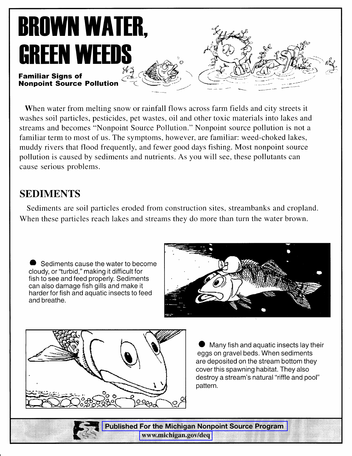# **BROWN WATER, GREEN WEEDS**

#### **Familiar Signs of Nonpoint Source Pollution**

When water from melting snow or rainfall flows across farm fields and city streets it washes soil particles, pesticides, pet wastes, oil and other toxic materials into lakes and streams and becomes "Nonpoint Source Pollution." Nonpoint source pollution is not a familiar term to most of us. The symptoms, however, are familiar: weed-choked lakes, muddy rivers that flood frequently, and fewer good days fishing. Most nonpoint source pollution is caused by sediments and nutrients. As you will see, these pollutants can cause serious problems.

# **SEDIMENTS**

Sediments are soil particles eroded from construction sites, streambanks and cropland. When these particles reach lakes and streams they do more than turn the water brown.

Sediments cause the water to become cloudy, or "turbid," making it difficult for fish to see and feed properly. Sediments can also damage fish gills and make it harder for fish and aquatic insects to feed and breathe.





Many fish and aquatic insects lay their eggs on gravel beds. When sediments are deposited on the stream bottom they cover this spawning habitat. They also destroy a stream's natural "riffle and pool" pattern.

**Published For the Michigan Nonpoint Source Program** www.michigan.gov/deq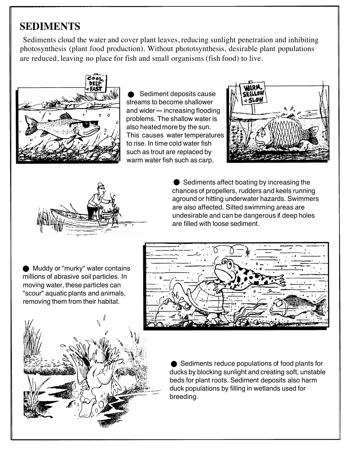# **SEDIMENTS**

Sediments cloud the water and cover plant leaves, reducing sunlight penetration and inhibiting photosynthesis (plant food production). Without phototsynthesis, desirable plant populations are reduced, leaving no place for fish and small organisms (fish food) to live.



Sediment deposits cause streams to become shallower and wider-increasing flooding problems. The shallow water is also heated more by the sun. This causes water temperatures to rise. In time cold water fish such as trout are replaced by warm water fish such as carp.





**●** Sediments affect boating by increasing the chances of propellers, rudders and keels running aground or hitting underwater hazards. Swimmers are also affected. Silted swimming areas are undesirable and can be dangerous if deep holes are filled with loose sediment.

**Muddy or "murky" water contains** millions of abrasive soil particles. In moving water, these particles can "scour" aquatic plants and animals, removing them from their habitat.





**● Sediments reduce populations of food plants for** ducks by blocking sunlight and creating soft, unstable beds for plant roots. Sediment deposits also harm duck populations by filling in wetlands used for breeding.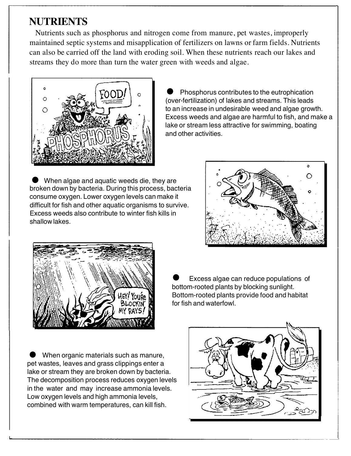## **NUTRIENTS**

Nutrients such as phosphorus and nitrogen come from manure, pet wastes, improperly maintained septic systems and misapplication of fertilizers on lawns or farm fields. Nutrients can also be carried off the land with eroding soil. When these nutrients reach our lakes and streams they do more than turn the water green with weeds and algae.



Phosphorus contributes to the eutrophication (over-fertilization) of lakes and streams. This leads to an increase in undesirable weed and algae growth. Excess weeds and algae are harmful to fish, and make a lake or stream less attractive for swimming, boating and other activities.

When algae and aquatic weeds die, they are broken down by bacteria. During this process, bacteria consume oxygen. Lower oxygen levels can make it difficult for fish and other aquatic organisms to survive. Excess weeds also contribute to winter fish kills in shallow lakes.





Excess algae can reduce populations of bottom-rooted plants by blocking sunlight. Bottom-rooted plants provide food and habitat for fish and waterfowl.

When organic materials such as manure, pet wastes, leaves and grass clippings enter a lake or stream they are broken down by bacteria. The decomposition process reduces oxygen levels in the water and may increase ammonia levels. Low oxygen levels and high ammonia levels, combined with warm temperatures, can kill fish.